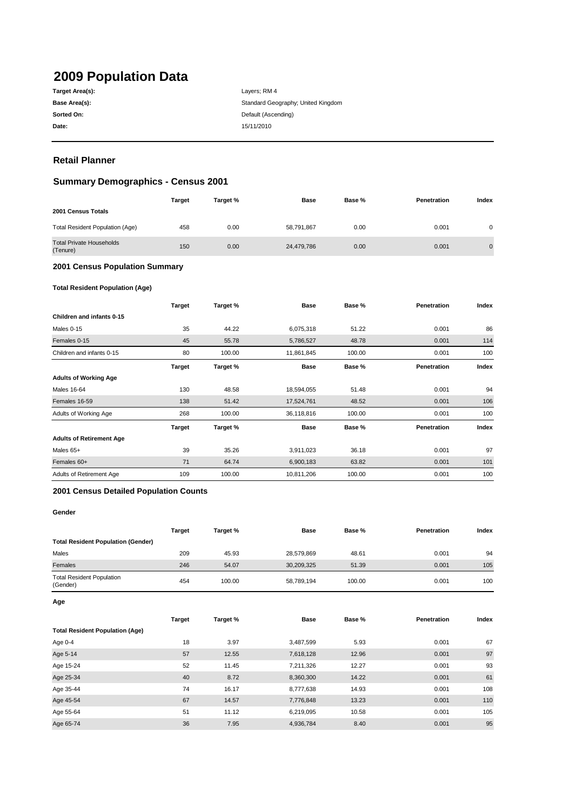# **2009 Population Data**

| Target Area(s): |
|-----------------|
| Base Area(s):   |
| Sorted On:      |
| Date:           |

**Date:** 15/11/2010 Layers; RM 4 Standard Geography; United Kingdom **Default (Ascending)** 

## **Retail Planner**

## **Summary Demographics - Census 2001**

| <b>Target</b> | Target % | <b>Base</b> | Base % | Penetration | Index          |
|---------------|----------|-------------|--------|-------------|----------------|
|               |          |             |        |             |                |
| 458           | 0.00     | 58,791,867  | 0.00   | 0.001       | 0              |
| 150           | 0.00     | 24,479,786  | 0.00   | 0.001       | $\overline{0}$ |
|               |          |             |        |             |                |

#### **2001 Census Population Summary**

#### **Total Resident Population (Age)**

|                                 | <b>Target</b> | Target % | <b>Base</b> | Base % | Penetration | Index |
|---------------------------------|---------------|----------|-------------|--------|-------------|-------|
| Children and infants 0-15       |               |          |             |        |             |       |
| Males 0-15                      | 35            | 44.22    | 6,075,318   | 51.22  | 0.001       | 86    |
| Females 0-15                    | 45            | 55.78    | 5,786,527   | 48.78  | 0.001       | 114   |
| Children and infants 0-15       | 80            | 100.00   | 11,861,845  | 100.00 | 0.001       | 100   |
|                                 | Target        | Target % | <b>Base</b> | Base % | Penetration | Index |
| <b>Adults of Working Age</b>    |               |          |             |        |             |       |
| <b>Males 16-64</b>              | 130           | 48.58    | 18,594,055  | 51.48  | 0.001       | 94    |
| Females 16-59                   | 138           | 51.42    | 17,524,761  | 48.52  | 0.001       | 106   |
| Adults of Working Age           | 268           | 100.00   | 36,118,816  | 100.00 | 0.001       | 100   |
|                                 | Target        | Target % | <b>Base</b> | Base % | Penetration | Index |
| <b>Adults of Retirement Age</b> |               |          |             |        |             |       |
| Males 65+                       | 39            | 35.26    | 3,911,023   | 36.18  | 0.001       | 97    |
| Females 60+                     | 71            | 64.74    | 6,900,183   | 63.82  | 0.001       | 101   |
| Adults of Retirement Age        | 109           | 100.00   | 10,811,206  | 100.00 | 0.001       | 100   |

#### **2001 Census Detailed Population Counts**

#### **Gender**

|                                              | <b>Target</b> | Target % | Base       | Base % | <b>Penetration</b> | Index |
|----------------------------------------------|---------------|----------|------------|--------|--------------------|-------|
| <b>Total Resident Population (Gender)</b>    |               |          |            |        |                    |       |
| Males                                        | 209           | 45.93    | 28,579,869 | 48.61  | 0.001              | 94    |
| Females                                      | 246           | 54.07    | 30,209,325 | 51.39  | 0.001              | 105   |
| <b>Total Resident Population</b><br>(Gender) | 454           | 100.00   | 58,789,194 | 100.00 | 0.001              | 100   |

**Age**

|                                        | <b>Target</b> | Target % | <b>Base</b> | Base % | Penetration | Index |
|----------------------------------------|---------------|----------|-------------|--------|-------------|-------|
| <b>Total Resident Population (Age)</b> |               |          |             |        |             |       |
| Age 0-4                                | 18            | 3.97     | 3,487,599   | 5.93   | 0.001       | 67    |
| Age 5-14                               | 57            | 12.55    | 7,618,128   | 12.96  | 0.001       | 97    |
| Age 15-24                              | 52            | 11.45    | 7,211,326   | 12.27  | 0.001       | 93    |
| Age 25-34                              | 40            | 8.72     | 8,360,300   | 14.22  | 0.001       | 61    |
| Age 35-44                              | 74            | 16.17    | 8,777,638   | 14.93  | 0.001       | 108   |
| Age 45-54                              | 67            | 14.57    | 7,776,848   | 13.23  | 0.001       | 110   |
| Age 55-64                              | 51            | 11.12    | 6,219,095   | 10.58  | 0.001       | 105   |
| Age 65-74                              | 36            | 7.95     | 4,936,784   | 8.40   | 0.001       | 95    |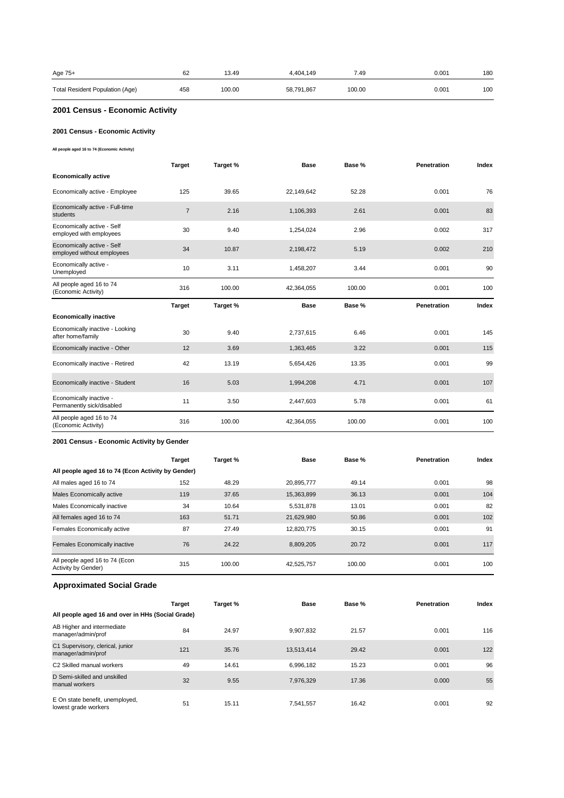| Age 75+                         | 62  | 13.49  | 4.404.149  | 7.49   | 0.001 | 180 |
|---------------------------------|-----|--------|------------|--------|-------|-----|
| Total Resident Population (Age) | 458 | 100.00 | 58,791,867 | 100.00 | 0.001 | 100 |

#### **2001 Census - Economic Activity**

#### **2001 Census - Economic Activity**

**All people aged 16 to 74 (Economic Activity)**

|                                                          | <b>Target</b>  | Target % | <b>Base</b> | Base % | <b>Penetration</b> | Index |
|----------------------------------------------------------|----------------|----------|-------------|--------|--------------------|-------|
| <b>Economically active</b>                               |                |          |             |        |                    |       |
| Economically active - Employee                           | 125            | 39.65    | 22,149,642  | 52.28  | 0.001              | 76    |
| Economically active - Full-time<br>students              | $\overline{7}$ | 2.16     | 1,106,393   | 2.61   | 0.001              | 83    |
| Economically active - Self<br>employed with employees    | 30             | 9.40     | 1,254,024   | 2.96   | 0.002              | 317   |
| Economically active - Self<br>employed without employees | 34             | 10.87    | 2,198,472   | 5.19   | 0.002              | 210   |
| Economically active -<br>Unemployed                      | 10             | 3.11     | 1,458,207   | 3.44   | 0.001              | 90    |
| All people aged 16 to 74<br>(Economic Activity)          | 316            | 100.00   | 42,364,055  | 100.00 | 0.001              | 100   |
|                                                          |                |          |             |        |                    |       |
|                                                          | <b>Target</b>  | Target % | <b>Base</b> | Base % | Penetration        | Index |
| <b>Economically inactive</b>                             |                |          |             |        |                    |       |
| Economically inactive - Looking<br>after home/family     | 30             | 9.40     | 2,737,615   | 6.46   | 0.001              | 145   |
| Economically inactive - Other                            | 12             | 3.69     | 1,363,465   | 3.22   | 0.001              | 115   |
| Economically inactive - Retired                          | 42             | 13.19    | 5,654,426   | 13.35  | 0.001              | 99    |
| Economically inactive - Student                          | 16             | 5.03     | 1,994,208   | 4.71   | 0.001              | 107   |
| Economically inactive -<br>Permanently sick/disabled     | 11             | 3.50     | 2,447,603   | 5.78   | 0.001              | 61    |

#### **2001 Census - Economic Activity by Gender**

|                                                       | <b>Target</b> | Target % | <b>Base</b> | Base % | Penetration | Index |
|-------------------------------------------------------|---------------|----------|-------------|--------|-------------|-------|
| All people aged 16 to 74 (Econ Activity by Gender)    |               |          |             |        |             |       |
| All males aged 16 to 74                               | 152           | 48.29    | 20.895.777  | 49.14  | 0.001       | 98    |
| Males Economically active                             | 119           | 37.65    | 15,363,899  | 36.13  | 0.001       | 104   |
| Males Economically inactive                           | 34            | 10.64    | 5.531.878   | 13.01  | 0.001       | 82    |
| All females aged 16 to 74                             | 163           | 51.71    | 21,629,980  | 50.86  | 0.001       | 102   |
| Females Economically active                           | 87            | 27.49    | 12.820.775  | 30.15  | 0.001       | 91    |
| Females Economically inactive                         | 76            | 24.22    | 8.809.205   | 20.72  | 0.001       | 117   |
| All people aged 16 to 74 (Econ<br>Activity by Gender) | 315           | 100.00   | 42,525,757  | 100.00 | 0.001       | 100   |

#### **Approximated Social Grade**

|                                                         | Target | Target % | <b>Base</b> | Base % | <b>Penetration</b> | Index |
|---------------------------------------------------------|--------|----------|-------------|--------|--------------------|-------|
| All people aged 16 and over in HHs (Social Grade)       |        |          |             |        |                    |       |
| AB Higher and intermediate<br>manager/admin/prof        | 84     | 24.97    | 9.907.832   | 21.57  | 0.001              | 116   |
| C1 Supervisory, clerical, junior<br>manager/admin/prof  | 121    | 35.76    | 13,513,414  | 29.42  | 0.001              | 122   |
| C <sub>2</sub> Skilled manual workers                   | 49     | 14.61    | 6,996,182   | 15.23  | 0.001              | 96    |
| D Semi-skilled and unskilled<br>manual workers          | 32     | 9.55     | 7,976,329   | 17.36  | 0.000              | 55    |
| E On state benefit, unemployed,<br>lowest grade workers | 51     | 15.11    | 7,541,557   | 16.42  | 0.001              | 92    |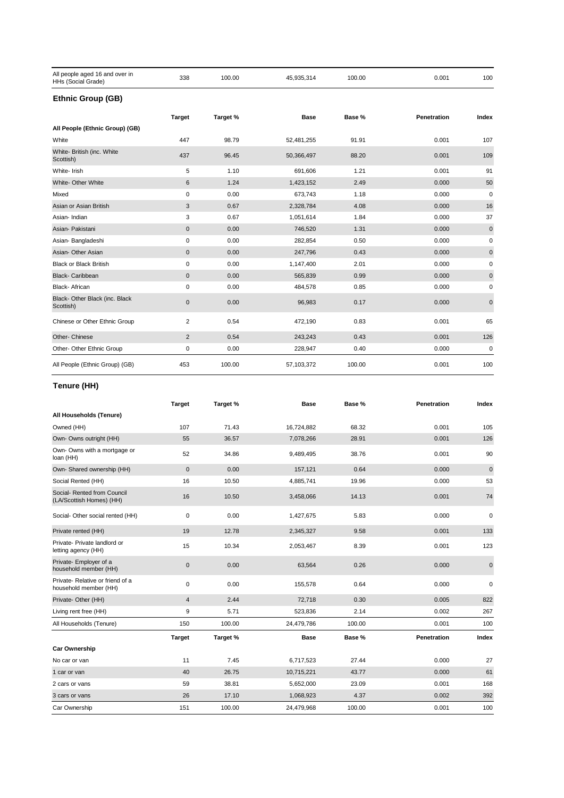| All people aged 16 and over in<br>HHs (Social Grade) | 338                 | 100.00   | 45,935,314  | 100.00 | 0.001       | 100         |
|------------------------------------------------------|---------------------|----------|-------------|--------|-------------|-------------|
| <b>Ethnic Group (GB)</b>                             |                     |          |             |        |             |             |
|                                                      | <b>Target</b>       | Target % | <b>Base</b> | Base % | Penetration | Index       |
| All People (Ethnic Group) (GB)                       |                     |          |             |        |             |             |
| White                                                | 447                 | 98.79    | 52,481,255  | 91.91  | 0.001       | 107         |
| White- British (inc. White<br>Scottish)              | 437                 | 96.45    | 50,366,497  | 88.20  | 0.001       | 109         |
| White- Irish                                         | 5                   | 1.10     | 691,606     | 1.21   | 0.001       | 91          |
| White- Other White                                   | 6                   | 1.24     | 1,423,152   | 2.49   | 0.000       | 50          |
| Mixed                                                | $\mathbf 0$         | 0.00     | 673,743     | 1.18   | 0.000       | $\mathbf 0$ |
| Asian or Asian British                               | 3                   | 0.67     | 2,328,784   | 4.08   | 0.000       | 16          |
| Asian-Indian                                         | 3                   | 0.67     | 1,051,614   | 1.84   | 0.000       | 37          |
| Asian- Pakistani                                     | $\mathsf{O}\xspace$ | 0.00     | 746,520     | 1.31   | 0.000       | $\pmb{0}$   |
| Asian-Bangladeshi                                    | 0                   | 0.00     | 282,854     | 0.50   | 0.000       | 0           |
| Asian- Other Asian                                   | $\mathbf{0}$        | 0.00     | 247,796     | 0.43   | 0.000       | $\pmb{0}$   |
| <b>Black or Black British</b>                        | $\mathbf 0$         | 0.00     | 1,147,400   | 2.01   | 0.000       | 0           |
| <b>Black-Caribbean</b>                               | $\mathbf{0}$        | 0.00     | 565,839     | 0.99   | 0.000       | $\pmb{0}$   |
| <b>Black-African</b>                                 | $\mathbf 0$         | 0.00     | 484,578     | 0.85   | 0.000       | 0           |
| Black- Other Black (inc. Black<br>Scottish)          | $\pmb{0}$           | 0.00     | 96,983      | 0.17   | 0.000       | $\mathbf 0$ |
| Chinese or Other Ethnic Group                        | $\overline{2}$      | 0.54     | 472,190     | 0.83   | 0.001       | 65          |
| Other- Chinese                                       | 2                   | 0.54     | 243,243     | 0.43   | 0.001       | 126         |
| Other- Other Ethnic Group                            | 0                   | 0.00     | 228,947     | 0.40   | 0.000       | $\mathbf 0$ |
| All People (Ethnic Group) (GB)                       | 453                 | 100.00   | 57,103,372  | 100.00 | 0.001       | 100         |

#### **Tenure (HH)**

|                                                           | <b>Target</b>  | Target % | <b>Base</b> | Base % | Penetration        | Index     |
|-----------------------------------------------------------|----------------|----------|-------------|--------|--------------------|-----------|
| All Households (Tenure)                                   |                |          |             |        |                    |           |
| Owned (HH)                                                | 107            | 71.43    | 16,724,882  | 68.32  | 0.001              | 105       |
| Own- Owns outright (HH)                                   | 55             | 36.57    | 7,078,266   | 28.91  | 0.001              | 126       |
| Own- Owns with a mortgage or<br>loan (HH)                 | 52             | 34.86    | 9,489,495   | 38.76  | 0.001              | 90        |
| Own- Shared ownership (HH)                                | $\pmb{0}$      | 0.00     | 157,121     | 0.64   | 0.000              | $\pmb{0}$ |
| Social Rented (HH)                                        | 16             | 10.50    | 4,885,741   | 19.96  | 0.000              | 53        |
| Social- Rented from Council<br>(LA/Scottish Homes) (HH)   | 16             | 10.50    | 3,458,066   | 14.13  | 0.001              | 74        |
| Social- Other social rented (HH)                          | $\mathbf 0$    | 0.00     | 1,427,675   | 5.83   | 0.000              | 0         |
| Private rented (HH)                                       | 19             | 12.78    | 2,345,327   | 9.58   | 0.001              | 133       |
| Private- Private landlord or<br>letting agency (HH)       | 15             | 10.34    | 2,053,467   | 8.39   | 0.001              | 123       |
| Private- Employer of a<br>household member (HH)           | $\mathbf 0$    | 0.00     | 63,564      | 0.26   | 0.000              | 0         |
| Private- Relative or friend of a<br>household member (HH) | 0              | 0.00     | 155,578     | 0.64   | 0.000              | 0         |
| Private- Other (HH)                                       | $\overline{4}$ | 2.44     | 72,718      | 0.30   | 0.005              | 822       |
| Living rent free (HH)                                     | 9              | 5.71     | 523,836     | 2.14   | 0.002              | 267       |
| All Households (Tenure)                                   | 150            | 100.00   | 24,479,786  | 100.00 | 0.001              | 100       |
|                                                           | <b>Target</b>  | Target % | <b>Base</b> | Base % | <b>Penetration</b> | Index     |
| <b>Car Ownership</b>                                      |                |          |             |        |                    |           |
| No car or van                                             | 11             | 7.45     | 6,717,523   | 27.44  | 0.000              | 27        |
| 1 car or van                                              | 40             | 26.75    | 10,715,221  | 43.77  | 0.000              | 61        |
| 2 cars or vans                                            | 59             | 38.81    | 5,652,000   | 23.09  | 0.001              | 168       |
| 3 cars or vans                                            | 26             | 17.10    | 1,068,923   | 4.37   | 0.002              | 392       |
| Car Ownership                                             | 151            | 100.00   | 24,479,968  | 100.00 | 0.001              | 100       |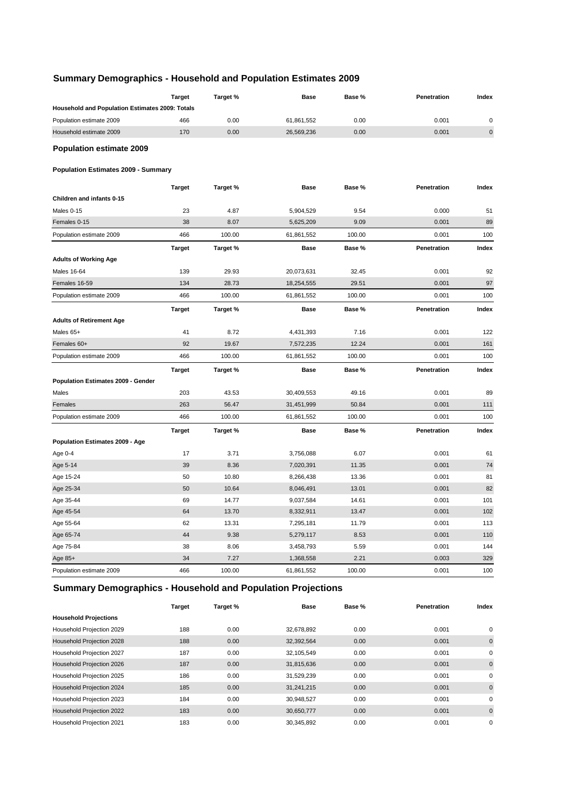## **Summary Demographics - Household and Population Estimates 2009**

|                                                 | <b>Target</b> | Target % | Base        | Base % | Penetration | Index       |
|-------------------------------------------------|---------------|----------|-------------|--------|-------------|-------------|
| Household and Population Estimates 2009: Totals |               |          |             |        |             |             |
| Population estimate 2009                        | 466           | 0.00     | 61,861,552  | 0.00   | 0.001       | $\mathbf 0$ |
| Household estimate 2009                         | 170           | 0.00     | 26,569,236  | 0.00   | 0.001       | $\pmb{0}$   |
| <b>Population estimate 2009</b>                 |               |          |             |        |             |             |
| <b>Population Estimates 2009 - Summary</b>      |               |          |             |        |             |             |
|                                                 | <b>Target</b> | Target % | <b>Base</b> | Base % | Penetration | Index       |
| Children and infants 0-15                       |               |          |             |        |             |             |
| Males 0-15                                      | 23            | 4.87     | 5,904,529   | 9.54   | 0.000       | 51          |
| Females 0-15                                    | 38            | 8.07     | 5,625,209   | 9.09   | 0.001       | 89          |
| Population estimate 2009                        | 466           | 100.00   | 61,861,552  | 100.00 | 0.001       | 100         |
|                                                 | <b>Target</b> | Target % | <b>Base</b> | Base % | Penetration | Index       |
| <b>Adults of Working Age</b>                    |               |          |             |        |             |             |
| <b>Males 16-64</b>                              | 139           | 29.93    | 20,073,631  | 32.45  | 0.001       | 92          |
| Females 16-59                                   | 134           | 28.73    | 18,254,555  | 29.51  | 0.001       | 97          |
| Population estimate 2009                        | 466           | 100.00   | 61,861,552  | 100.00 | 0.001       | 100         |
|                                                 | <b>Target</b> | Target % | <b>Base</b> | Base % | Penetration | Index       |
| <b>Adults of Retirement Age</b>                 |               |          |             |        |             |             |
| Males 65+                                       | 41            | 8.72     | 4,431,393   | 7.16   | 0.001       | 122         |
| Females 60+                                     | 92            | 19.67    | 7,572,235   | 12.24  | 0.001       | 161         |
| Population estimate 2009                        | 466           | 100.00   | 61,861,552  | 100.00 | 0.001       | 100         |
|                                                 | <b>Target</b> | Target % | <b>Base</b> | Base % | Penetration | Index       |
| Population Estimates 2009 - Gender              |               |          |             |        |             |             |
| Males                                           | 203           | 43.53    | 30,409,553  | 49.16  | 0.001       | 89          |
| Females                                         | 263           | 56.47    | 31,451,999  | 50.84  | 0.001       | 111         |
| Population estimate 2009                        | 466           | 100.00   | 61,861,552  | 100.00 | 0.001       | 100         |
|                                                 | <b>Target</b> | Target % | <b>Base</b> | Base % | Penetration | Index       |
| Population Estimates 2009 - Age                 |               |          |             |        |             |             |
| Age 0-4                                         | 17            | 3.71     | 3,756,088   | 6.07   | 0.001       | 61          |
| Age 5-14                                        | 39            | 8.36     | 7,020,391   | 11.35  | 0.001       | 74          |
| Age 15-24                                       | 50            | 10.80    | 8,266,438   | 13.36  | 0.001       | 81          |
| Age 25-34                                       | 50            | 10.64    | 8,046,491   | 13.01  | 0.001       | 82          |
| Age 35-44                                       | 69            | 14.77    | 9,037,584   | 14.61  | 0.001       | 101         |
| Age 45-54                                       | 64            | 13.70    | 8,332,911   | 13.47  | 0.001       | 102         |
| Age 55-64                                       | 62            | 13.31    | 7,295,181   | 11.79  | 0.001       | 113         |
| Age 65-74                                       | 44            | 9.38     | 5,279,117   | 8.53   | 0.001       | 110         |
| Age 75-84                                       | 38            | 8.06     | 3,458,793   | 5.59   | 0.001       | 144         |
| Age 85+                                         | 34            | 7.27     | 1,368,558   | 2.21   | 0.003       | 329         |
| Population estimate 2009                        | 466           | 100.00   | 61,861,552  | 100.00 | 0.001       | 100         |

# **Summary Demographics - Household and Population Projections**

|                              | <b>Target</b> | Target % | <b>Base</b> | Base % | Penetration | Index       |
|------------------------------|---------------|----------|-------------|--------|-------------|-------------|
| <b>Household Projections</b> |               |          |             |        |             |             |
| Household Projection 2029    | 188           | 0.00     | 32,678,892  | 0.00   | 0.001       | 0           |
| Household Projection 2028    | 188           | 0.00     | 32,392,564  | 0.00   | 0.001       | $\mathbf 0$ |
| Household Projection 2027    | 187           | 0.00     | 32,105,549  | 0.00   | 0.001       | 0           |
| Household Projection 2026    | 187           | 0.00     | 31,815,636  | 0.00   | 0.001       | $\mathbf 0$ |
| Household Projection 2025    | 186           | 0.00     | 31,529,239  | 0.00   | 0.001       | 0           |
| Household Projection 2024    | 185           | 0.00     | 31,241,215  | 0.00   | 0.001       | $\mathbf 0$ |
| Household Projection 2023    | 184           | 0.00     | 30,948,527  | 0.00   | 0.001       | 0           |
| Household Projection 2022    | 183           | 0.00     | 30,650,777  | 0.00   | 0.001       | $\mathbf 0$ |
| Household Projection 2021    | 183           | 0.00     | 30,345,892  | 0.00   | 0.001       | 0           |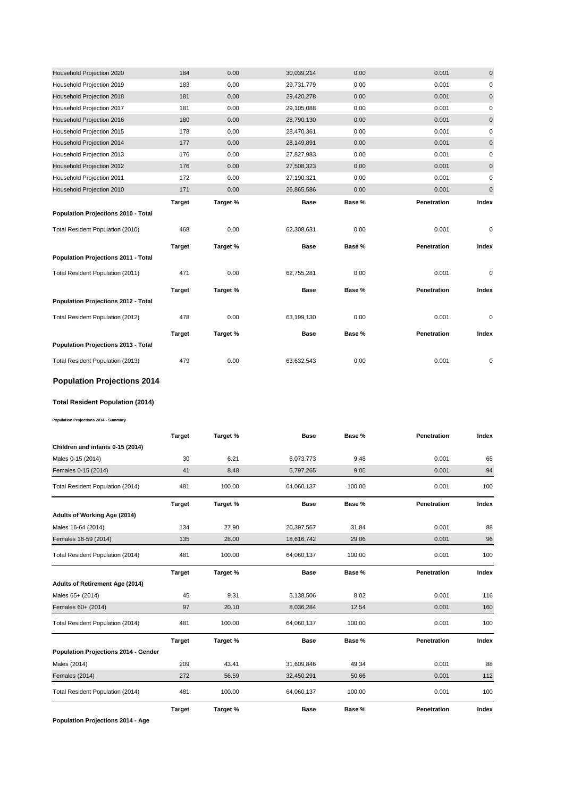| Household Projection 2020           | 184           | 0.00     | 30,039,214  | 0.00   | 0.001       | $\mathbf 0$ |
|-------------------------------------|---------------|----------|-------------|--------|-------------|-------------|
| Household Projection 2019           | 183           | 0.00     | 29,731,779  | 0.00   | 0.001       | $\pmb{0}$   |
| Household Projection 2018           | 181           | 0.00     | 29,420,278  | 0.00   | 0.001       | $\pmb{0}$   |
| Household Projection 2017           | 181           | 0.00     | 29,105,088  | 0.00   | 0.001       | 0           |
| Household Projection 2016           | 180           | 0.00     | 28,790,130  | 0.00   | 0.001       | $\mathbf 0$ |
| Household Projection 2015           | 178           | 0.00     | 28,470,361  | 0.00   | 0.001       | 0           |
| Household Projection 2014           | 177           | 0.00     | 28,149,891  | 0.00   | 0.001       | $\pmb{0}$   |
| Household Projection 2013           | 176           | 0.00     | 27,827,983  | 0.00   | 0.001       | 0           |
| Household Projection 2012           | 176           | 0.00     | 27,508,323  | 0.00   | 0.001       | $\mathbf 0$ |
| Household Projection 2011           | 172           | 0.00     | 27,190,321  | 0.00   | 0.001       | $\pmb{0}$   |
| Household Projection 2010           | 171           | 0.00     | 26,865,586  | 0.00   | 0.001       | $\pmb{0}$   |
|                                     | <b>Target</b> | Target % | <b>Base</b> | Base % | Penetration | Index       |
| Population Projections 2010 - Total |               |          |             |        |             |             |
|                                     |               |          |             |        |             |             |
| Total Resident Population (2010)    | 468           | 0.00     | 62,308,631  | 0.00   | 0.001       | $\pmb{0}$   |
|                                     | <b>Target</b> | Target % | <b>Base</b> | Base % | Penetration | Index       |
| Population Projections 2011 - Total |               |          |             |        |             |             |
| Total Resident Population (2011)    | 471           | 0.00     | 62,755,281  | 0.00   | 0.001       | 0           |
|                                     | <b>Target</b> | Target % | <b>Base</b> | Base % | Penetration | Index       |
| Population Projections 2012 - Total |               |          |             |        |             |             |
| Total Resident Population (2012)    | 478           | 0.00     | 63,199,130  | 0.00   | 0.001       | 0           |
|                                     | <b>Target</b> | Target % | Base        | Base % | Penetration | Index       |
| Population Projections 2013 - Total |               |          |             |        |             |             |

## **Population Projections 2014**

#### **Total Resident Population (2014)**

**Population Projections 2014 - Summary**

|                                             | <b>Target</b> | Target % | <b>Base</b> | Base % | Penetration | Index |
|---------------------------------------------|---------------|----------|-------------|--------|-------------|-------|
| Children and infants 0-15 (2014)            |               |          |             |        |             |       |
| Males 0-15 (2014)                           | 30            | 6.21     | 6,073,773   | 9.48   | 0.001       | 65    |
| Females 0-15 (2014)                         | 41            | 8.48     | 5,797,265   | 9.05   | 0.001       | 94    |
| Total Resident Population (2014)            | 481           | 100.00   | 64,060,137  | 100.00 | 0.001       | 100   |
|                                             | <b>Target</b> | Target % | <b>Base</b> | Base % | Penetration | Index |
| Adults of Working Age (2014)                |               |          |             |        |             |       |
| Males 16-64 (2014)                          | 134           | 27.90    | 20,397,567  | 31.84  | 0.001       | 88    |
| Females 16-59 (2014)                        | 135           | 28.00    | 18,616,742  | 29.06  | 0.001       | 96    |
| Total Resident Population (2014)            | 481           | 100.00   | 64,060,137  | 100.00 | 0.001       | 100   |
|                                             | <b>Target</b> | Target % | <b>Base</b> | Base % | Penetration | Index |
| Adults of Retirement Age (2014)             |               |          |             |        |             |       |
| Males 65+ (2014)                            | 45            | 9.31     | 5,138,506   | 8.02   | 0.001       | 116   |
| Females 60+ (2014)                          | 97            | 20.10    | 8,036,284   | 12.54  | 0.001       | 160   |
| Total Resident Population (2014)            | 481           | 100.00   | 64,060,137  | 100.00 | 0.001       | 100   |
|                                             | <b>Target</b> | Target % | <b>Base</b> | Base % | Penetration | Index |
| <b>Population Projections 2014 - Gender</b> |               |          |             |        |             |       |
| Males (2014)                                | 209           | 43.41    | 31,609,846  | 49.34  | 0.001       | 88    |
| Females (2014)                              | 272           | 56.59    | 32,450,291  | 50.66  | 0.001       | 112   |
| Total Resident Population (2014)            | 481           | 100.00   | 64,060,137  | 100.00 | 0.001       | 100   |
|                                             | <b>Target</b> | Target % | <b>Base</b> | Base % | Penetration | Index |

**Population Projections 2014 - Age**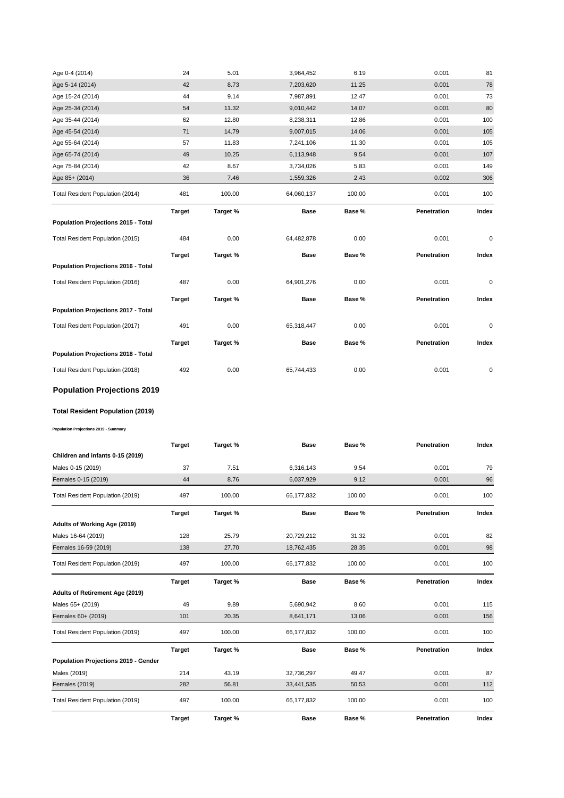| Age 0-4 (2014)                      | 24            | 5.01     | 3,964,452   | 6.19   | 0.001       | 81    |
|-------------------------------------|---------------|----------|-------------|--------|-------------|-------|
| Age 5-14 (2014)                     | 42            | 8.73     | 7,203,620   | 11.25  | 0.001       | 78    |
| Age 15-24 (2014)                    | 44            | 9.14     | 7,987,891   | 12.47  | 0.001       | 73    |
| Age 25-34 (2014)                    | 54            | 11.32    | 9,010,442   | 14.07  | 0.001       | 80    |
| Age 35-44 (2014)                    | 62            | 12.80    | 8,238,311   | 12.86  | 0.001       | 100   |
| Age 45-54 (2014)                    | 71            | 14.79    | 9,007,015   | 14.06  | 0.001       | 105   |
| Age 55-64 (2014)                    | 57            | 11.83    | 7,241,106   | 11.30  | 0.001       | 105   |
| Age 65-74 (2014)                    | 49            | 10.25    | 6,113,948   | 9.54   | 0.001       | 107   |
| Age 75-84 (2014)                    | 42            | 8.67     | 3,734,026   | 5.83   | 0.001       | 149   |
| Age 85+ (2014)                      | 36            | 7.46     | 1,559,326   | 2.43   | 0.002       | 306   |
| Total Resident Population (2014)    | 481           | 100.00   | 64,060,137  | 100.00 | 0.001       | 100   |
|                                     | <b>Target</b> | Target % | <b>Base</b> | Base % | Penetration | Index |
| Population Projections 2015 - Total |               |          |             |        |             |       |
|                                     |               |          |             |        |             |       |
| Total Resident Population (2015)    | 484           | 0.00     | 64,482,878  | 0.00   | 0.001       | 0     |
|                                     | <b>Target</b> | Target % | <b>Base</b> | Base % | Penetration | Index |
| Population Projections 2016 - Total |               |          |             |        |             |       |
| Total Resident Population (2016)    | 487           | 0.00     | 64,901,276  | 0.00   | 0.001       | 0     |
|                                     | <b>Target</b> | Target % | <b>Base</b> | Base % | Penetration | Index |
| Population Projections 2017 - Total |               |          |             |        |             |       |
| Total Resident Population (2017)    | 491           | 0.00     | 65,318,447  | 0.00   | 0.001       | 0     |
|                                     | <b>Target</b> | Target % | <b>Base</b> | Base % | Penetration | Index |
| Population Projections 2018 - Total |               |          |             |        |             |       |

## **Population Projections 2019**

#### **Total Resident Population (2019)**

**Population Projections 2019 - Summary**

|                                      | <b>Target</b> | Target % | <b>Base</b> | Base % | Penetration | Index |
|--------------------------------------|---------------|----------|-------------|--------|-------------|-------|
| Children and infants 0-15 (2019)     |               |          |             |        |             |       |
| Males 0-15 (2019)                    | 37            | 7.51     | 6,316,143   | 9.54   | 0.001       | 79    |
| Females 0-15 (2019)                  | 44            | 8.76     | 6,037,929   | 9.12   | 0.001       | 96    |
| Total Resident Population (2019)     | 497           | 100.00   | 66,177,832  | 100.00 | 0.001       | 100   |
|                                      | <b>Target</b> | Target % | <b>Base</b> | Base % | Penetration | Index |
| Adults of Working Age (2019)         |               |          |             |        |             |       |
| Males 16-64 (2019)                   | 128           | 25.79    | 20,729,212  | 31.32  | 0.001       | 82    |
| Females 16-59 (2019)                 | 138           | 27.70    | 18,762,435  | 28.35  | 0.001       | 98    |
| Total Resident Population (2019)     | 497           | 100.00   | 66,177,832  | 100.00 | 0.001       | 100   |
|                                      | <b>Target</b> | Target % | <b>Base</b> | Base % | Penetration | Index |
| Adults of Retirement Age (2019)      |               |          |             |        |             |       |
| Males 65+ (2019)                     | 49            | 9.89     | 5,690,942   | 8.60   | 0.001       | 115   |
| Females 60+ (2019)                   | 101           | 20.35    | 8,641,171   | 13.06  | 0.001       | 156   |
| Total Resident Population (2019)     | 497           | 100.00   | 66,177,832  | 100.00 | 0.001       | 100   |
|                                      | <b>Target</b> | Target % | <b>Base</b> | Base % | Penetration | Index |
| Population Projections 2019 - Gender |               |          |             |        |             |       |
| Males (2019)                         | 214           | 43.19    | 32,736,297  | 49.47  | 0.001       | 87    |
| <b>Females (2019)</b>                | 282           | 56.81    | 33,441,535  | 50.53  | 0.001       | 112   |
| Total Resident Population (2019)     | 497           | 100.00   | 66,177,832  | 100.00 | 0.001       | 100   |
|                                      | <b>Target</b> | Target % | <b>Base</b> | Base % | Penetration | Index |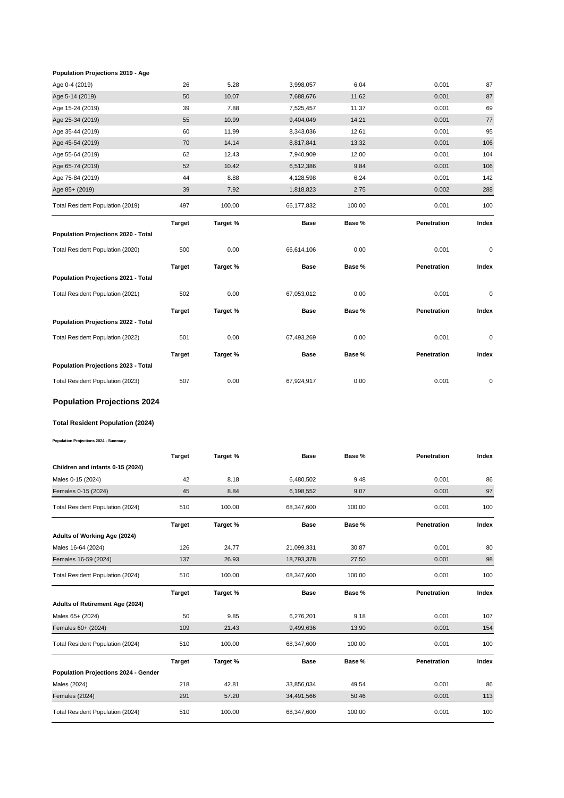#### **Population Projections 2019 - Age**

| Age 0-4 (2019)                          | 26            | 5.28     | 3,998,057   | 6.04   | 0.001       | 87        |
|-----------------------------------------|---------------|----------|-------------|--------|-------------|-----------|
| Age 5-14 (2019)                         | 50            | 10.07    | 7,688,676   | 11.62  | 0.001       | 87        |
| Age 15-24 (2019)                        | 39            | 7.88     | 7,525,457   | 11.37  | 0.001       | 69        |
| Age 25-34 (2019)                        | 55            | 10.99    | 9,404,049   | 14.21  | 0.001       | 77        |
| Age 35-44 (2019)                        | 60            | 11.99    | 8,343,036   | 12.61  | 0.001       | 95        |
| Age 45-54 (2019)                        | 70            | 14.14    | 8,817,841   | 13.32  | 0.001       | 106       |
| Age 55-64 (2019)                        | 62            | 12.43    | 7,940,909   | 12.00  | 0.001       | 104       |
| Age 65-74 (2019)                        | 52            | 10.42    | 6,512,386   | 9.84   | 0.001       | 106       |
| Age 75-84 (2019)                        | 44            | 8.88     | 4,128,598   | 6.24   | 0.001       | 142       |
| Age 85+ (2019)                          | 39            | 7.92     | 1,818,823   | 2.75   | 0.002       | 288       |
| Total Resident Population (2019)        | 497           | 100.00   | 66,177,832  | 100.00 | 0.001       | 100       |
|                                         | <b>Target</b> | Target % | <b>Base</b> | Base % | Penetration | Index     |
| Population Projections 2020 - Total     |               |          |             |        |             |           |
| Total Resident Population (2020)        | 500           | 0.00     | 66,614,106  | 0.00   | 0.001       | $\pmb{0}$ |
|                                         | <b>Target</b> | Target % | <b>Base</b> | Base % | Penetration | Index     |
| Population Projections 2021 - Total     |               |          |             |        |             |           |
| Total Resident Population (2021)        | 502           | 0.00     | 67,053,012  | 0.00   | 0.001       | 0         |
|                                         | <b>Target</b> | Target % | <b>Base</b> | Base % | Penetration | Index     |
| Population Projections 2022 - Total     |               |          |             |        |             |           |
| Total Resident Population (2022)        | 501           | 0.00     | 67,493,269  | 0.00   | 0.001       | 0         |
|                                         | <b>Target</b> | Target % | Base        | Base % | Penetration | Index     |
| Population Projections 2023 - Total     |               |          |             |        |             |           |
| Total Resident Population (2023)        | 507           | 0.00     | 67,924,917  | 0.00   | 0.001       | 0         |
| <b>Population Projections 2024</b>      |               |          |             |        |             |           |
| <b>Total Resident Population (2024)</b> |               |          |             |        |             |           |
|                                         |               |          |             |        |             |           |

**Target Target % Base Base % Penetration Index** Males 0-15 (2024) 42 8.18 6,480,502 9.48 0.001 86 Females 0-15 (2024) 45 8.84 6,198,552 9.07 0.001 97 Total Resident Population (2024) 510 100.00 68,347,600 100.00 0.001 100 **Target Target % Base Base % Penetration Index** Males 16-64 (2024) 126 24.77 21,099,331 30.87 0.001 80 Females 16-59 (2024) 137 26.93 18,793,378 27.50 0.001 98 Total Resident Population (2024) 510 100.00 68,347,600 100.00 0.001 100 **Target Target % Base Base % Penetration Index** Males 65+ (2024) 50 9.85 6,276,201 9.18 0.001 107 Females 60+ (2024) 109 21.43 9,499,636 13.90 0.001 154 Total Resident Population (2024) 510 100.00 68,347,600 100.00 0.001 100 **Target Target % Base Base % Penetration Index** Males (2024) 218 42.81 33,856,034 49.54 0.001 86 Females (2024) 291 57.20 34,491,566 50.46 0.001 113 **Adults of Working Age (2024) Adults of Retirement Age (2024) Population Projections 2024 - Gender Population Projections 2024 - Summary Children and infants 0-15 (2024)**

Total Resident Population (2024) 510 100.00 68,347,600 100.00 0.001 100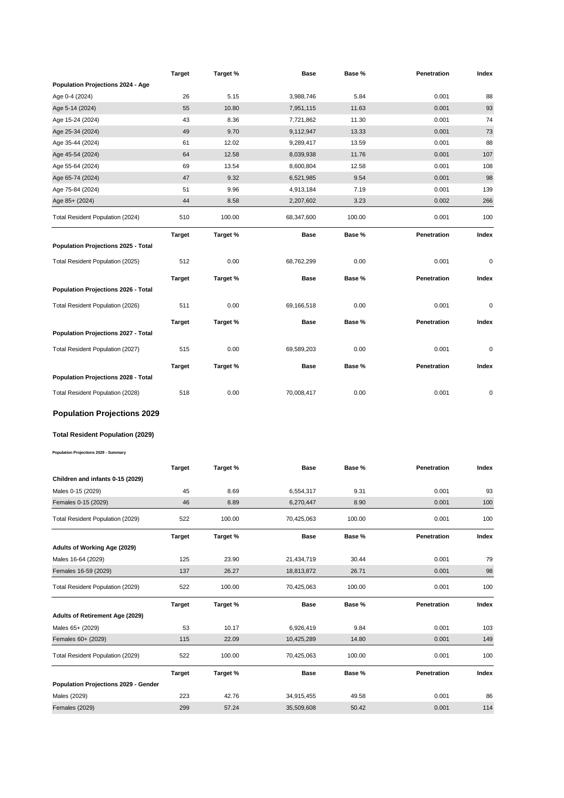|                                        | <b>Target</b> | Target % | <b>Base</b> | Base % | Penetration | Index |
|----------------------------------------|---------------|----------|-------------|--------|-------------|-------|
| Population Projections 2024 - Age      |               |          |             |        |             |       |
| Age 0-4 (2024)                         | 26            | 5.15     | 3,988,746   | 5.84   | 0.001       | 88    |
| Age 5-14 (2024)                        | 55            | 10.80    | 7,951,115   | 11.63  | 0.001       | 93    |
| Age 15-24 (2024)                       | 43            | 8.36     | 7,721,862   | 11.30  | 0.001       | 74    |
| Age 25-34 (2024)                       | 49            | 9.70     | 9,112,947   | 13.33  | 0.001       | 73    |
| Age 35-44 (2024)                       | 61            | 12.02    | 9,289,417   | 13.59  | 0.001       | 88    |
| Age 45-54 (2024)                       | 64            | 12.58    | 8,039,938   | 11.76  | 0.001       | 107   |
| Age 55-64 (2024)                       | 69            | 13.54    | 8,600,804   | 12.58  | 0.001       | 108   |
| Age 65-74 (2024)                       | 47            | 9.32     | 6,521,985   | 9.54   | 0.001       | 98    |
| Age 75-84 (2024)                       | 51            | 9.96     | 4,913,184   | 7.19   | 0.001       | 139   |
| Age 85+ (2024)                         | 44            | 8.58     | 2,207,602   | 3.23   | 0.002       | 266   |
| Total Resident Population (2024)       | 510           | 100.00   | 68,347,600  | 100.00 | 0.001       | 100   |
|                                        | <b>Target</b> | Target % | Base        | Base % | Penetration | Index |
| Population Projections 2025 - Total    |               |          |             |        |             |       |
|                                        |               |          |             |        |             |       |
| Total Resident Population (2025)       | 512           | 0.00     | 68,762,299  | 0.00   | 0.001       | 0     |
| Population Projections 2026 - Total    | <b>Target</b> | Target % | Base        | Base % | Penetration | Index |
|                                        |               |          |             |        |             |       |
| Total Resident Population (2026)       | 511           | 0.00     | 69,166,518  | 0.00   | 0.001       | 0     |
|                                        | <b>Target</b> | Target % | <b>Base</b> | Base % | Penetration | Index |
| Population Projections 2027 - Total    |               |          |             |        |             |       |
| Total Resident Population (2027)       | 515           | 0.00     | 69,589,203  | 0.00   | 0.001       | 0     |
|                                        | <b>Target</b> | Target % | Base        | Base % | Penetration | Index |
| Population Projections 2028 - Total    |               |          |             |        |             |       |
| Total Resident Population (2028)       | 518           | 0.00     | 70,008,417  | 0.00   | 0.001       | 0     |
|                                        |               |          |             |        |             |       |
| <b>Population Projections 2029</b>     |               |          |             |        |             |       |
| Total Resident Population (2029)       |               |          |             |        |             |       |
| Population Projections 2029 - Summary  |               |          |             |        |             |       |
|                                        |               |          |             |        |             |       |
|                                        | <b>Target</b> | Target % | Base        | Base % | Penetration | Index |
| Children and infants 0-15 (2029)       |               |          |             |        |             |       |
| Males 0-15 (2029)                      | 45            | 8.69     | 6,554,317   | 9.31   | 0.001       | 93    |
| Females 0-15 (2029)                    | 46            | 8.89     | 6,270,447   | 8.90   | 0.001       | 100   |
| Total Resident Population (2029)       | 522           | 100.00   | 70,425,063  | 100.00 | 0.001       | 100   |
|                                        | <b>Target</b> | Target % | Base        | Base % | Penetration | Index |
| Adults of Working Age (2029)           |               |          |             |        |             |       |
| Males 16-64 (2029)                     | 125           | 23.90    | 21,434,719  | 30.44  | 0.001       | 79    |
| Females 16-59 (2029)                   | 137           | 26.27    | 18,813,872  | 26.71  | 0.001       | 98    |
| Total Resident Population (2029)       | 522           | 100.00   | 70,425,063  | 100.00 | 0.001       | 100   |
|                                        | <b>Target</b> | Target % | <b>Base</b> | Base % | Penetration | Index |
| <b>Adults of Retirement Age (2029)</b> |               |          |             |        |             |       |
|                                        |               |          |             |        |             |       |
| Males 65+ (2029)                       | 53            | 10.17    | 6,926,419   | 9.84   | 0.001       | 103   |
| Females 60+ (2029)                     | 115           | 22.09    | 10,425,289  | 14.80  | 0.001       | 149   |
| Total Resident Population (2029)       | 522           | 100.00   | 70,425,063  | 100.00 | 0.001       | 100   |
| Population Projections 2029 - Gender   | <b>Target</b> | Target % | Base        | Base % | Penetration | Index |
| Males (2029)                           | 223           | 42.76    | 34,915,455  | 49.58  | 0.001       | 86    |
| Females (2029)                         | 299           | 57.24    | 35,509,608  | 50.42  | 0.001       | 114   |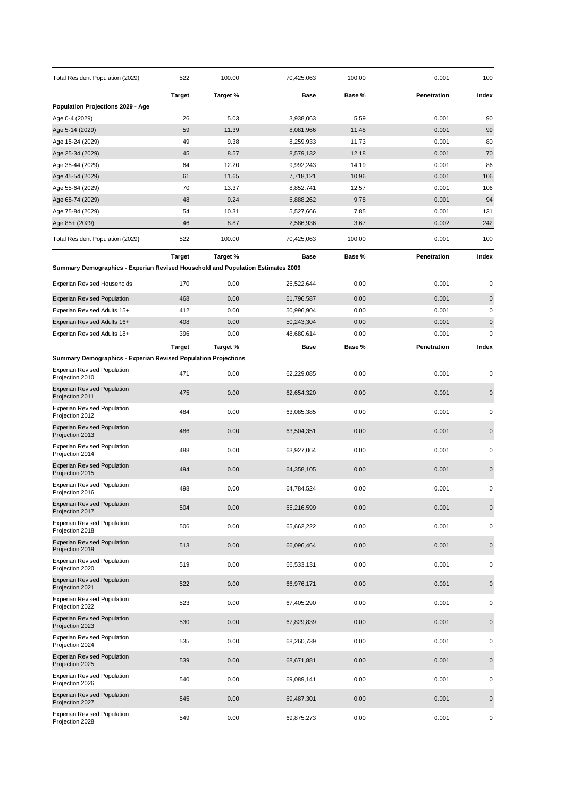| Total Resident Population (2029)                                                | 522           | 100.00        | 70,425,063             | 100.00        | 0.001          | 100         |
|---------------------------------------------------------------------------------|---------------|---------------|------------------------|---------------|----------------|-------------|
|                                                                                 | <b>Target</b> | Target %      | Base                   | Base %        | Penetration    | Index       |
| <b>Population Projections 2029 - Age</b>                                        |               |               |                        |               |                |             |
| Age 0-4 (2029)                                                                  | 26<br>59      | 5.03          | 3,938,063              | 5.59<br>11.48 | 0.001<br>0.001 | 90          |
| Age 5-14 (2029)<br>Age 15-24 (2029)                                             | 49            | 11.39<br>9.38 | 8,081,966<br>8,259,933 | 11.73         | 0.001          | 99<br>80    |
| Age 25-34 (2029)                                                                | 45            | 8.57          | 8,579,132              | 12.18         | 0.001          | 70          |
| Age 35-44 (2029)                                                                | 64            | 12.20         | 9,992,243              | 14.19         | 0.001          | 86          |
| Age 45-54 (2029)                                                                | 61            | 11.65         | 7,718,121              | 10.96         | 0.001          | 106         |
| Age 55-64 (2029)                                                                | 70            | 13.37         | 8,852,741              | 12.57         | 0.001          | 106         |
| Age 65-74 (2029)                                                                | 48            | 9.24          | 6,888,262              | 9.78          | 0.001          | 94          |
| Age 75-84 (2029)                                                                | 54            | 10.31         | 5,527,666              | 7.85          | 0.001          | 131         |
| Age 85+ (2029)                                                                  | 46            | 8.87          | 2,586,936              | 3.67          | 0.002          | 242         |
| Total Resident Population (2029)                                                | 522           | 100.00        | 70,425,063             | 100.00        | 0.001          | 100         |
|                                                                                 | <b>Target</b> | Target %      | <b>Base</b>            | Base %        | Penetration    | Index       |
| Summary Demographics - Experian Revised Household and Population Estimates 2009 |               |               |                        |               |                |             |
| <b>Experian Revised Households</b>                                              | 170           | 0.00          | 26,522,644             | 0.00          | 0.001          | 0           |
| <b>Experian Revised Population</b>                                              | 468           | 0.00          | 61,796,587             | 0.00          | 0.001          | $\mathbf 0$ |
| Experian Revised Adults 15+                                                     | 412           | 0.00          | 50,996,904             | 0.00          | 0.001          | $\pmb{0}$   |
| Experian Revised Adults 16+                                                     | 408           | 0.00          | 50,243,304             | 0.00          | 0.001          | $\pmb{0}$   |
| Experian Revised Adults 18+                                                     | 396           | 0.00          | 48,680,614             | 0.00          | 0.001          | $\mathbf 0$ |
|                                                                                 | <b>Target</b> | Target %      | Base                   | Base %        | Penetration    | Index       |
| <b>Summary Demographics - Experian Revised Population Projections</b>           |               |               |                        |               |                |             |
| <b>Experian Revised Population</b><br>Projection 2010                           | 471           | 0.00          | 62,229,085             | 0.00          | 0.001          | 0           |
| <b>Experian Revised Population</b><br>Projection 2011                           | 475           | 0.00          | 62,654,320             | 0.00          | 0.001          | $\mathbf 0$ |
| <b>Experian Revised Population</b><br>Projection 2012                           | 484           | 0.00          | 63,085,385             | 0.00          | 0.001          | 0           |
| <b>Experian Revised Population</b><br>Projection 2013                           | 486           | 0.00          | 63,504,351             | 0.00          | 0.001          | $\pmb{0}$   |
| <b>Experian Revised Population</b><br>Projection 2014                           | 488           | 0.00          | 63,927,064             | 0.00          | 0.001          | 0           |
| <b>Experian Revised Population</b><br>Projection 2015                           | 494           | 0.00          | 64,358,105             | 0.00          | 0.001          | $\mathbf 0$ |
| <b>Experian Revised Population</b><br>Projection 2016                           | 498           | 0.00          | 64,784,524             | 0.00          | 0.001          | 0           |
| <b>Experian Revised Population</b><br>Projection 2017                           | 504           | 0.00          | 65,216,599             | 0.00          | 0.001          | $\pmb{0}$   |
| <b>Experian Revised Population</b><br>Projection 2018                           | 506           | 0.00          | 65,662,222             | 0.00          | 0.001          | 0           |
| <b>Experian Revised Population</b><br>Projection 2019                           | 513           | 0.00          | 66,096,464             | 0.00          | 0.001          | $\pmb{0}$   |
| <b>Experian Revised Population</b><br>Projection 2020                           | 519           | 0.00          | 66,533,131             | 0.00          | 0.001          | 0           |
| <b>Experian Revised Population</b><br>Projection 2021                           | 522           | 0.00          | 66,976,171             | 0.00          | 0.001          | $\pmb{0}$   |
| <b>Experian Revised Population</b><br>Projection 2022                           | 523           | 0.00          | 67,405,290             | 0.00          | 0.001          | 0           |
| <b>Experian Revised Population</b><br>Projection 2023                           | 530           | 0.00          | 67,829,839             | 0.00          | 0.001          | $\mathbf 0$ |
| <b>Experian Revised Population</b><br>Projection 2024                           | 535           | 0.00          | 68,260,739             | 0.00          | 0.001          | $\pmb{0}$   |
| <b>Experian Revised Population</b><br>Projection 2025                           | 539           | 0.00          | 68,671,881             | 0.00          | 0.001          | $\mathbf 0$ |
| <b>Experian Revised Population</b><br>Projection 2026                           | 540           | 0.00          | 69,089,141             | 0.00          | 0.001          | 0           |
| <b>Experian Revised Population</b><br>Projection 2027                           | 545           | 0.00          | 69,487,301             | 0.00          | 0.001          | $\mathbf 0$ |
| <b>Experian Revised Population</b><br>Projection 2028                           | 549           | 0.00          | 69,875,273             | 0.00          | 0.001          | 0           |